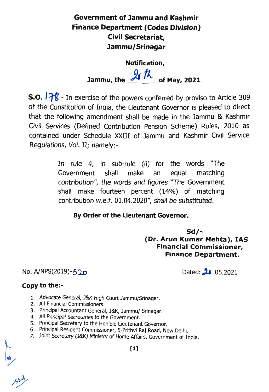## Government of lammu and Kashmir Finance Department (Codes Division) Civil Secretariat, lammu/Srinagar

Notification, Jammu, the  $\frac{9}{\sqrt{1}}$  of May, 2021.

s.o. 178 - In exercise of the powers conferred by proviso to Article 309 of the Constitution of India, the Lieutenant Governor is pleased to direct that the following amendment shall be made in the Jammu & Kashmir Civil Services (Defined Contribution Pension Scheme) Rules, 2010 as contained under Schedule XXIII of Jammu and Kashmir Civil Service Regulations, Vol. II; namely:-

> In rule 4, in sub-rule (ii) for the words "The Government shall make an equal matching contribution", the words and figures "The Government shall make fourteen percent (14%) of matching contribution w.e.f. 01.04.2020", shall be substituted.

## By Order of the Lieutenant Governor.

Sd/- (Dr. Arun Kumar Mehta), IAS Financial Commissioner, Finance Department.

 $No.$  A/NPS(2019)-52p

Dated:  $\frac{1}{2}$  .05.2021

## Copy to the:-

- 1. Advocate General, J&K High Court Jammu/Srinagar.
- 2. All Financial Commissioners.
- 3. Principal Accountant General, J&K, Jammu/ Srinagar.
- 4. All Principal Secretaries to the Government.
- 5. Principal Secretary to the Hon'ble Lieutenant Governor.
- 6. Principal Resident Commissioner, 5-Prithvi Raj Road, New Delhi.
- 7. Joint Secretary (J&K) Ministry of Home Affairs, Government of India.

[1]

 $\frac{m}{\mu}$